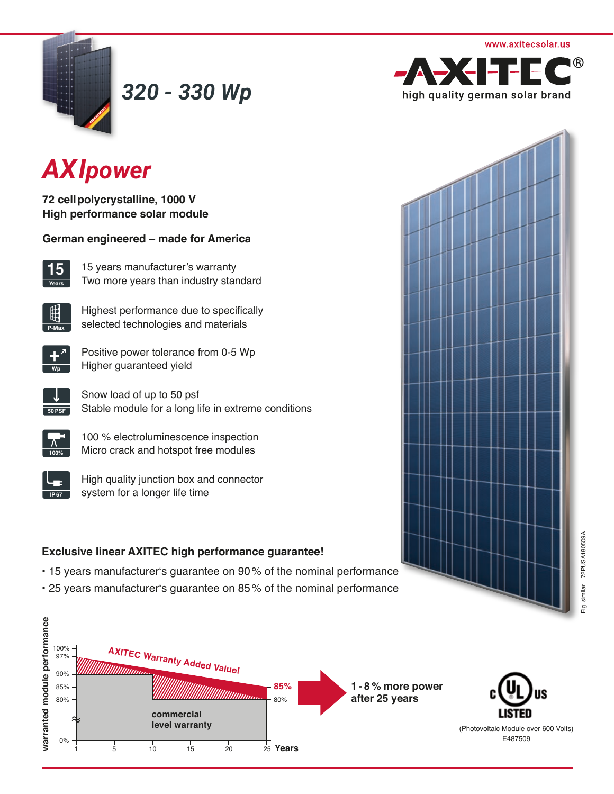

*320 - 330 Wp*



# *AXIpower*

**72 cell polycrystalline, 1000 V High performance solar module** 

|  |  |  | German engineered - made for America |
|--|--|--|--------------------------------------|
|--|--|--|--------------------------------------|



15 years manufacturer's warranty Two more years than industry standard



Highest performance due to specifically selected technologies and materials



Positive power tolerance from 0-5 Wp **Higher guaranteed yield** 



Snow load of up to 50 psf Stable module for a long life in extreme conditions

| 00% |
|-----|

100 % electroluminescence inspection Micro crack and hotspot free modules



High quality junction box and connector system for a longer life time

## **Exclusive linear AXITEC high performance guarantee!**

- 15 years manufacturer's guarantee on 90% of the nominal performance
- 25 years manufacturer's guarantee on 85% of the nominal performance